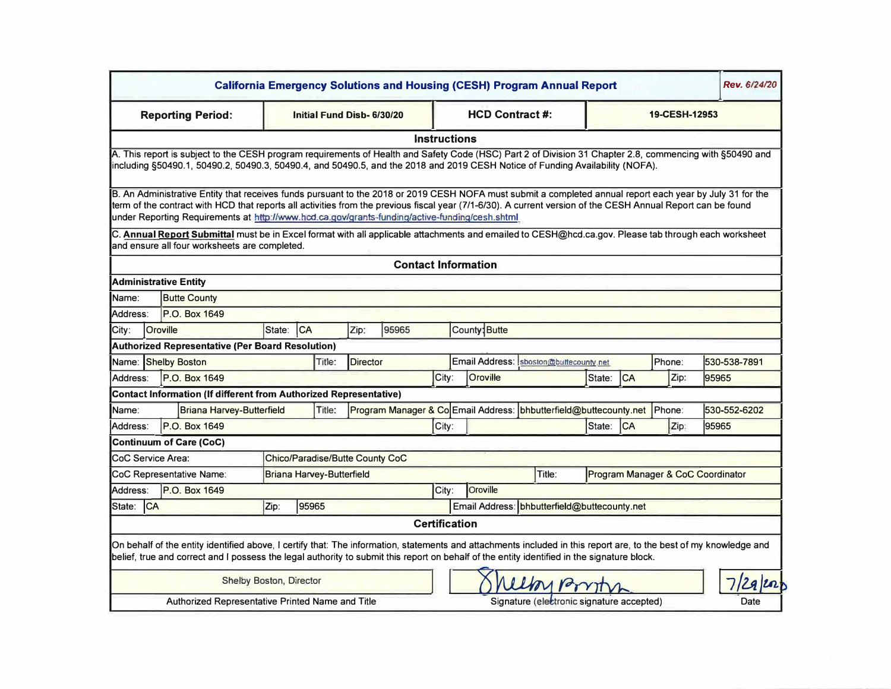| Rev. 6/24/20<br><b>California Emergency Solutions and Housing (CESH) Program Annual Report</b>                                                                                                                                                                                                                                                                                                                              |                 |                                                                          |                           |                                 |                                                                   |                                              |       |                                           |                                           |                                   |           |        |              |
|-----------------------------------------------------------------------------------------------------------------------------------------------------------------------------------------------------------------------------------------------------------------------------------------------------------------------------------------------------------------------------------------------------------------------------|-----------------|--------------------------------------------------------------------------|---------------------------|---------------------------------|-------------------------------------------------------------------|----------------------------------------------|-------|-------------------------------------------|-------------------------------------------|-----------------------------------|-----------|--------|--------------|
| <b>Reporting Period:</b>                                                                                                                                                                                                                                                                                                                                                                                                    |                 |                                                                          | Initial Fund Disb-6/30/20 |                                 |                                                                   |                                              |       | <b>HCD Contract #:</b>                    |                                           | 19-CESH-12953                     |           |        |              |
| <b>Instructions</b>                                                                                                                                                                                                                                                                                                                                                                                                         |                 |                                                                          |                           |                                 |                                                                   |                                              |       |                                           |                                           |                                   |           |        |              |
| A. This report is subject to the CESH program requirements of Health and Safety Code (HSC) Part 2 of Division 31 Chapter 2.8, commencing with §50490 and<br>including §50490.1, 50490.2, 50490.3, 50490.4, and 50490.5, and the 2018 and 2019 CESH Notice of Funding Availability (NOFA).                                                                                                                                   |                 |                                                                          |                           |                                 |                                                                   |                                              |       |                                           |                                           |                                   |           |        |              |
| B. An Administrative Entity that receives funds pursuant to the 2018 or 2019 CESH NOFA must submit a completed annual report each year by July 31 for the<br>term of the contract with HCD that reports all activities from the previous fiscal year (7/1-6/30). A current version of the CESH Annual Report can be found<br>under Reporting Requirements at http://www.hcd.ca.gov/grants-funding/active-funding/cesh.shtml |                 |                                                                          |                           |                                 |                                                                   |                                              |       |                                           |                                           |                                   |           |        |              |
| C. Annual Report Submittal must be in Excel format with all applicable attachments and emailed to CESH@hcd.ca.gov. Please tab through each worksheet<br>and ensure all four worksheets are completed.                                                                                                                                                                                                                       |                 |                                                                          |                           |                                 |                                                                   |                                              |       |                                           |                                           |                                   |           |        |              |
| <b>Contact Information</b>                                                                                                                                                                                                                                                                                                                                                                                                  |                 |                                                                          |                           |                                 |                                                                   |                                              |       |                                           |                                           |                                   |           |        |              |
|                                                                                                                                                                                                                                                                                                                                                                                                                             |                 | <b>Administrative Entity</b>                                             |                           |                                 |                                                                   |                                              |       |                                           |                                           |                                   |           |        |              |
| Name:                                                                                                                                                                                                                                                                                                                                                                                                                       |                 | <b>Butte County</b>                                                      |                           |                                 |                                                                   |                                              |       |                                           |                                           |                                   |           |        |              |
| Address:                                                                                                                                                                                                                                                                                                                                                                                                                    |                 | P.O. Box 1649                                                            |                           |                                 |                                                                   |                                              |       |                                           |                                           |                                   |           |        |              |
| City:                                                                                                                                                                                                                                                                                                                                                                                                                       | <b>Oroville</b> |                                                                          | State:                    | CA                              | Zip:                                                              | 95965                                        |       | County: Butte                             |                                           |                                   |           |        |              |
|                                                                                                                                                                                                                                                                                                                                                                                                                             |                 | <b>Authorized Representative (Per Board Resolution)</b>                  |                           |                                 |                                                                   |                                              |       |                                           |                                           |                                   |           |        |              |
| Name:                                                                                                                                                                                                                                                                                                                                                                                                                       |                 | <b>Shelby Boston</b><br>Title:                                           |                           |                                 |                                                                   | <b>Director</b>                              |       | Email Address:<br>sboston@buffecounty.net |                                           |                                   |           | Phone: | 530-538-7891 |
| Address:                                                                                                                                                                                                                                                                                                                                                                                                                    |                 | P.O. Box 1649                                                            |                           |                                 |                                                                   |                                              | City: | Oroville                                  |                                           | State:                            | <b>CA</b> | Zip:   | 95965        |
|                                                                                                                                                                                                                                                                                                                                                                                                                             |                 | <b>Contact Information (If different from Authorized Representative)</b> |                           |                                 |                                                                   |                                              |       |                                           |                                           |                                   |           |        |              |
| Name:                                                                                                                                                                                                                                                                                                                                                                                                                       |                 | <b>Briana Harvey-Butterfield</b>                                         | Title:                    |                                 | Program Manager & Co Email Address: bhbutterfield@buttecounty.net |                                              |       |                                           |                                           |                                   |           | Phone: | 530-552-6202 |
| Address:                                                                                                                                                                                                                                                                                                                                                                                                                    |                 | P.O. Box 1649                                                            |                           |                                 |                                                                   |                                              | City: |                                           |                                           | State:                            | ICA       | Zip:   | 95965        |
|                                                                                                                                                                                                                                                                                                                                                                                                                             |                 | <b>Continuum of Care (CoC)</b>                                           |                           |                                 |                                                                   |                                              |       |                                           |                                           |                                   |           |        |              |
| CoC Service Area:                                                                                                                                                                                                                                                                                                                                                                                                           |                 |                                                                          |                           | Chico/Paradise/Butte County CoC |                                                                   |                                              |       |                                           |                                           |                                   |           |        |              |
|                                                                                                                                                                                                                                                                                                                                                                                                                             |                 | CoC Representative Name:<br><b>Briana Harvey-Butterfield</b>             |                           |                                 |                                                                   |                                              |       | Title:                                    |                                           | Program Manager & CoC Coordinator |           |        |              |
| Address:                                                                                                                                                                                                                                                                                                                                                                                                                    |                 | P.O. Box 1649<br>City:                                                   |                           |                                 |                                                                   |                                              |       | <b>Oroville</b>                           |                                           |                                   |           |        |              |
| State: CA                                                                                                                                                                                                                                                                                                                                                                                                                   |                 | Zip:<br>95965                                                            |                           |                                 |                                                                   | Email Address: bhbutterfield@buttecounty.net |       |                                           |                                           |                                   |           |        |              |
| <b>Certification</b>                                                                                                                                                                                                                                                                                                                                                                                                        |                 |                                                                          |                           |                                 |                                                                   |                                              |       |                                           |                                           |                                   |           |        |              |
| On behalf of the entity identified above, I certify that: The information, statements and attachments included in this report are, to the best of my knowledge and<br>belief, true and correct and I possess the legal authority to submit this report on behalf of the entity identified in the signature block.                                                                                                           |                 |                                                                          |                           |                                 |                                                                   |                                              |       |                                           |                                           |                                   |           |        |              |
| <b>Shelby Boston, Director</b><br>Lloyron                                                                                                                                                                                                                                                                                                                                                                                   |                 |                                                                          |                           |                                 |                                                                   |                                              |       |                                           |                                           |                                   |           |        |              |
|                                                                                                                                                                                                                                                                                                                                                                                                                             |                 | Authorized Representative Printed Name and Title                         |                           |                                 |                                                                   |                                              |       |                                           | Signature (electronic signature accepted) |                                   |           |        | Date         |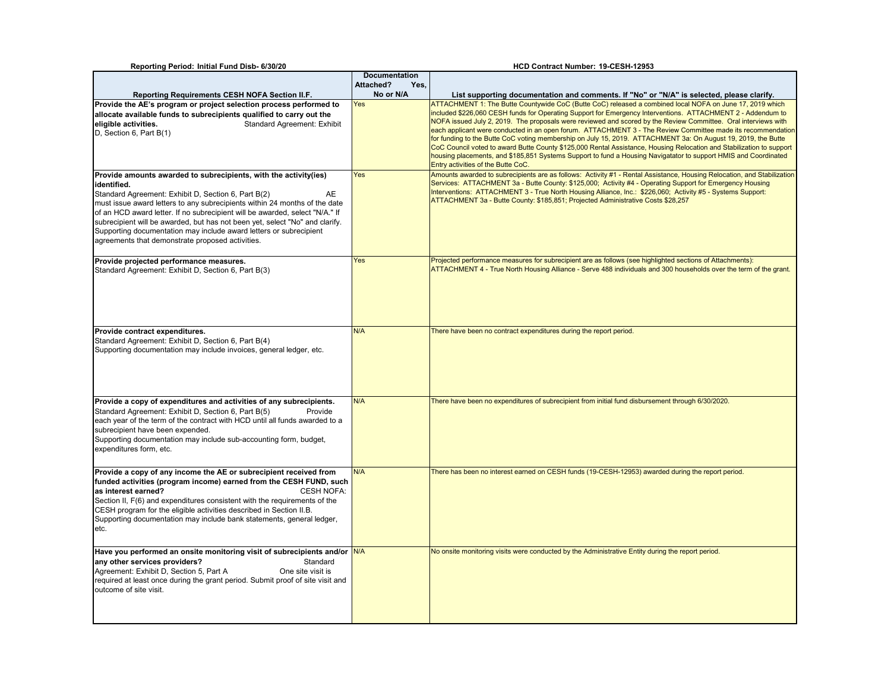| Reporting Period: Initial Fund Disb- 6/30/20                                                                                                                                                                                                                                                                                                                                                                                                                                                                          |                      | HCD Contract Number: 19-CESH-12953                                                                                                                                                                                                                                                                                                                                                                                                                                                                                                                                                                                                                                                                                                                                                                                                                         |
|-----------------------------------------------------------------------------------------------------------------------------------------------------------------------------------------------------------------------------------------------------------------------------------------------------------------------------------------------------------------------------------------------------------------------------------------------------------------------------------------------------------------------|----------------------|------------------------------------------------------------------------------------------------------------------------------------------------------------------------------------------------------------------------------------------------------------------------------------------------------------------------------------------------------------------------------------------------------------------------------------------------------------------------------------------------------------------------------------------------------------------------------------------------------------------------------------------------------------------------------------------------------------------------------------------------------------------------------------------------------------------------------------------------------------|
|                                                                                                                                                                                                                                                                                                                                                                                                                                                                                                                       | <b>Documentation</b> |                                                                                                                                                                                                                                                                                                                                                                                                                                                                                                                                                                                                                                                                                                                                                                                                                                                            |
|                                                                                                                                                                                                                                                                                                                                                                                                                                                                                                                       | Attached?<br>Yes,    |                                                                                                                                                                                                                                                                                                                                                                                                                                                                                                                                                                                                                                                                                                                                                                                                                                                            |
| <b>Reporting Requirements CESH NOFA Section II.F.</b>                                                                                                                                                                                                                                                                                                                                                                                                                                                                 | No or N/A            | List supporting documentation and comments. If "No" or "N/A" is selected, please clarify.                                                                                                                                                                                                                                                                                                                                                                                                                                                                                                                                                                                                                                                                                                                                                                  |
| Provide the AE's program or project selection process performed to<br>allocate available funds to subrecipients qualified to carry out the<br>eligible activities.<br><b>Standard Agreement: Exhibit</b><br>D, Section 6, Part B(1)                                                                                                                                                                                                                                                                                   | Yes                  | ATTACHMENT 1: The Butte Countywide CoC (Butte CoC) released a combined local NOFA on June 17, 2019 which<br>included \$226,060 CESH funds for Operating Support for Emergency Interventions. ATTACHMENT 2 - Addendum to<br>NOFA issued July 2, 2019. The proposals were reviewed and scored by the Review Committee. Oral interviews with<br>each applicant were conducted in an open forum. ATTACHMENT 3 - The Review Committee made its recommendation<br>for funding to the Butte CoC voting membership on July 15, 2019. ATTACHMENT 3a: On August 19, 2019, the Butte<br>CoC Council voted to award Butte County \$125,000 Rental Assistance, Housing Relocation and Stabilization to support<br>housing placements, and \$185,851 Systems Support to fund a Housing Navigatator to support HMIS and Coordinated<br>Entry activities of the Butte CoC. |
| Provide amounts awarded to subrecipients, with the activity (ies)<br>identified.<br>Standard Agreement: Exhibit D, Section 6, Part B(2)<br>AE<br>must issue award letters to any subrecipients within 24 months of the date<br>of an HCD award letter. If no subrecipient will be awarded, select "N/A." If<br>subrecipient will be awarded, but has not been yet, select "No" and clarify.<br>Supporting documentation may include award letters or subrecipient<br>agreements that demonstrate proposed activities. | Yes                  | Amounts awarded to subrecipients are as follows: Activity #1 - Rental Assistance, Housing Relocation, and Stabilization<br>Services: ATTACHMENT 3a - Butte County: \$125,000; Activity #4 - Operating Support for Emergency Housing<br>Interventions: ATTACHMENT 3 - True North Housing Alliance, Inc.: \$226,060; Activity #5 - Systems Support:<br>ATTACHMENT 3a - Butte County: \$185,851; Projected Administrative Costs \$28,257                                                                                                                                                                                                                                                                                                                                                                                                                      |
| Provide projected performance measures.<br>Standard Agreement: Exhibit D, Section 6, Part B(3)                                                                                                                                                                                                                                                                                                                                                                                                                        | Yes                  | Projected performance measures for subrecipient are as follows (see highlighted sections of Attachments):<br>ATTACHMENT 4 - True North Housing Alliance - Serve 488 individuals and 300 households over the term of the grant.                                                                                                                                                                                                                                                                                                                                                                                                                                                                                                                                                                                                                             |
| Provide contract expenditures.<br>Standard Agreement: Exhibit D, Section 6, Part B(4)<br>Supporting documentation may include invoices, general ledger, etc.                                                                                                                                                                                                                                                                                                                                                          | N/A                  | There have been no contract expenditures during the report period.                                                                                                                                                                                                                                                                                                                                                                                                                                                                                                                                                                                                                                                                                                                                                                                         |
| Provide a copy of expenditures and activities of any subrecipients.<br>Standard Agreement: Exhibit D, Section 6, Part B(5)<br>Provide<br>each year of the term of the contract with HCD until all funds awarded to a<br>subrecipient have been expended.<br>Supporting documentation may include sub-accounting form, budget,<br>expenditures form, etc.                                                                                                                                                              | N/A                  | There have been no expenditures of subrecipient from initial fund disbursement through 6/30/2020.                                                                                                                                                                                                                                                                                                                                                                                                                                                                                                                                                                                                                                                                                                                                                          |
| Provide a copy of any income the AE or subrecipient received from<br>funded activities (program income) earned from the CESH FUND, such<br>as interest earned?<br><b>CESH NOFA:</b><br>Section II, F(6) and expenditures consistent with the requirements of the<br>CESH program for the eligible activities described in Section II.B.<br>Supporting documentation may include bank statements, general ledger,<br>etc.                                                                                              | N/A                  | There has been no interest earned on CESH funds (19-CESH-12953) awarded during the report period.                                                                                                                                                                                                                                                                                                                                                                                                                                                                                                                                                                                                                                                                                                                                                          |
| Have you performed an onsite monitoring visit of subrecipients and/or N/A<br>any other services providers?<br>Standard<br>One site visit is<br>Agreement: Exhibit D, Section 5, Part A<br>required at least once during the grant period. Submit proof of site visit and<br>outcome of site visit.                                                                                                                                                                                                                    |                      | No onsite monitoring visits were conducted by the Administrative Entity during the report period.                                                                                                                                                                                                                                                                                                                                                                                                                                                                                                                                                                                                                                                                                                                                                          |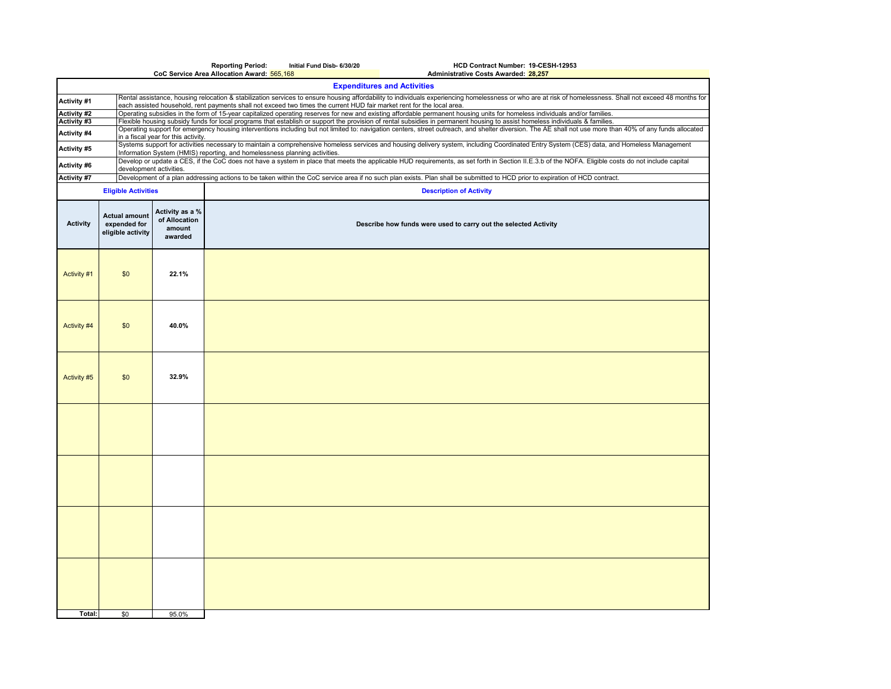|                                   |                                                           |                                                                                                                                                                                                                                                                          | <b>Reporting Period:</b>                   | Initial Fund Disb- 6/30/20                                                                                             | HCD Contract Number: 19-CESH-12953                                                                                                                                                                                                                                                                                                                           |  |  |  |  |  |  |
|-----------------------------------|-----------------------------------------------------------|--------------------------------------------------------------------------------------------------------------------------------------------------------------------------------------------------------------------------------------------------------------------------|--------------------------------------------|------------------------------------------------------------------------------------------------------------------------|--------------------------------------------------------------------------------------------------------------------------------------------------------------------------------------------------------------------------------------------------------------------------------------------------------------------------------------------------------------|--|--|--|--|--|--|
|                                   |                                                           |                                                                                                                                                                                                                                                                          | CoC Service Area Allocation Award: 565,168 |                                                                                                                        | Administrative Costs Awarded: 28,257<br><b>Expenditures and Activities</b>                                                                                                                                                                                                                                                                                   |  |  |  |  |  |  |
|                                   |                                                           |                                                                                                                                                                                                                                                                          |                                            |                                                                                                                        | Rental assistance, housing relocation & stabilization services to ensure housing affordability to individuals experiencing homelessness or who are at risk of homelessness. Shall not exceed 48 months for                                                                                                                                                   |  |  |  |  |  |  |
| Activity #1                       |                                                           |                                                                                                                                                                                                                                                                          |                                            | each assisted household, rent payments shall not exceed two times the current HUD fair market rent for the local area. |                                                                                                                                                                                                                                                                                                                                                              |  |  |  |  |  |  |
| <b>Activity #2</b><br>Activity #3 |                                                           |                                                                                                                                                                                                                                                                          |                                            |                                                                                                                        | Operating subsidies in the form of 15-year capitalized operating reserves for new and existing affordable permanent housing units for homeless individuals and/or families.<br>Flexible housing subsidy funds for local programs that establish or support the provision of rental subsidies in permanent housing to assist homeless individuals & families. |  |  |  |  |  |  |
| Activity #4                       |                                                           | Operating support for emergency housing interventions including but not limited to: navigation centers, street outreach, and shelter diversion. The AE shall not use more than 40% of any funds allocated<br>in a fiscal year for this activity.                         |                                            |                                                                                                                        |                                                                                                                                                                                                                                                                                                                                                              |  |  |  |  |  |  |
| Activity #5                       |                                                           | Systems support for activities necessary to maintain a comprehensive homeless services and housing delivery system, including Coordinated Entry System (CES) data, and Homeless Management<br>Information System (HMIS) reporting, and homelessness planning activities. |                                            |                                                                                                                        |                                                                                                                                                                                                                                                                                                                                                              |  |  |  |  |  |  |
| Activity #6                       |                                                           | Develop or update a CES, if the CoC does not have a system in place that meets the applicable HUD requirements, as set forth in Section II.E.3.b of the NOFA. Eligible costs do not include capital<br>development activities.                                           |                                            |                                                                                                                        |                                                                                                                                                                                                                                                                                                                                                              |  |  |  |  |  |  |
| Activity #7                       |                                                           | Development of a plan addressing actions to be taken within the CoC service area if no such plan exists. Plan shall be submitted to HCD prior to expiration of HCD contract.                                                                                             |                                            |                                                                                                                        |                                                                                                                                                                                                                                                                                                                                                              |  |  |  |  |  |  |
|                                   | <b>Eligible Activities</b>                                |                                                                                                                                                                                                                                                                          | <b>Description of Activity</b>             |                                                                                                                        |                                                                                                                                                                                                                                                                                                                                                              |  |  |  |  |  |  |
| <b>Activity</b>                   | <b>Actual amount</b><br>expended for<br>eligible activity | Activity as a %<br>of Allocation<br>amount<br>awarded                                                                                                                                                                                                                    |                                            | Describe how funds were used to carry out the selected Activity                                                        |                                                                                                                                                                                                                                                                                                                                                              |  |  |  |  |  |  |
| Activity #1                       | \$0                                                       | 22.1%                                                                                                                                                                                                                                                                    |                                            |                                                                                                                        |                                                                                                                                                                                                                                                                                                                                                              |  |  |  |  |  |  |
| Activity #4                       | \$0                                                       | 40.0%                                                                                                                                                                                                                                                                    |                                            |                                                                                                                        |                                                                                                                                                                                                                                                                                                                                                              |  |  |  |  |  |  |
| Activity #5                       | \$0                                                       | 32.9%                                                                                                                                                                                                                                                                    |                                            |                                                                                                                        |                                                                                                                                                                                                                                                                                                                                                              |  |  |  |  |  |  |
|                                   |                                                           |                                                                                                                                                                                                                                                                          |                                            |                                                                                                                        |                                                                                                                                                                                                                                                                                                                                                              |  |  |  |  |  |  |
|                                   |                                                           |                                                                                                                                                                                                                                                                          |                                            |                                                                                                                        |                                                                                                                                                                                                                                                                                                                                                              |  |  |  |  |  |  |
|                                   |                                                           |                                                                                                                                                                                                                                                                          |                                            |                                                                                                                        |                                                                                                                                                                                                                                                                                                                                                              |  |  |  |  |  |  |
|                                   |                                                           |                                                                                                                                                                                                                                                                          |                                            |                                                                                                                        |                                                                                                                                                                                                                                                                                                                                                              |  |  |  |  |  |  |
| Total:                            | \$0                                                       | 95.0%                                                                                                                                                                                                                                                                    |                                            |                                                                                                                        |                                                                                                                                                                                                                                                                                                                                                              |  |  |  |  |  |  |